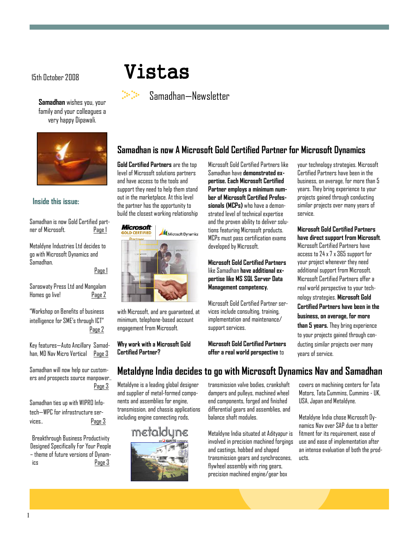Samadhan wishes you, your family and your colleagues a very happy Dipawali.



#### Inside this issue:

Samadhan is now Gold Certified partner of Microsoft. Page 1

Metaldyne Industries Ltd decides to go with Microsoft Dynamics and Samadhan.

Page 1

Saraswaty Press Ltd and Mangalam Homes go live! Page 2

"Workshop on Benefits of business intelligence for SME's through ICT" Page 2

Key features—Auto Ancillary Samadhan, MD Nav Micro Vertical Page 3

Samadhan will now help our customers and prospects source manpower.. Page 3

Samadhan ties up with WIPRO Infotech—WPC for infrastructure services.. Page 3

Breakthrough Business Productivity Designed Specifically For Your People – theme of future versions of Dynamics Page 3

# 15th October 2008 Vistas

Samadhan—Newsletter

### Samadhan is now A Microsoft Gold Certified Partner for Microsoft Dynamics

Gold Certified Partners are the top level of Microsoft solutions partners and have access to the tools and support they need to help them stand out in the marketplace. At this level the partner has the opportunity to build the closest working relationship



with Microsoft, and are guaranteed, at minimum, telephone-based account engagement from Microsoft.

Why work with a Microsoft Gold Certified Partner?

Microsoft Gold Certified Partners like Samadhan have demonstrated expertise. Each Microsoft Certified Partner employs a minimum number of Microsoft Certified Professionals (MCPs) who have a demonstrated level of technical expertise and the proven ability to deliver solutions featuring Microsoft products. MCPs must pass certification exams developed by Microsoft.

#### Microsoft Gold Certified Partners like Samadhan have additional expertise like MS SQL Server Data Management competency.

Microsoft Gold Certified Partner services include consulting, training, implementation and maintenance/ support services.

Microsoft Gold Certified Partners offer a real world perspective to

your technology strategies. Microsoft Certified Partners have been in the business, on average, for more than 5 years. They bring experience to your projects gained through conducting similar projects over many years of service.

#### Microsoft Gold Certified Partners have direct support from Microsoft.

Microsoft Certified Partners have access to 24 x 7 x 365 support for your project whenever they need additional support from Microsoft. Microsoft Certified Partners offer a real world perspective to your technology strategies. Microsoft Gold Certified Partners have been in the business, on average, for more than 5 years. They bring experience to your projects gained through conducting similar projects over many years of service.

### Metaldyne India decides to go with Microsoft Dynamics Nav and Samadhan

Metaldyne is a leading global designer and supplier of metal-formed components and assemblies for engine, transmission, and chassis applications including engine connecting rods,



transmission valve bodies, crankshaft dampers and pulleys, machined wheel end components, forged and finished differential gears and assemblies, and balance shaft modules.

Metaldyne India situated at Adityapur is involved in precision machined forgings and castings, hobbed and shaped transmission gears and synchrocones, flywheel assembly with ring gears, precision machined engine/gear box

covers on machining centers for Tata Motors, Tata Cummins, Cummins - UK, USA, Japan and Metaldyne.

Metaldyne India chose Microsoft Dynamics Nav over SAP due to a better fitment for its requirement, ease of use and ease of implementation after an intense evaluation of both the products.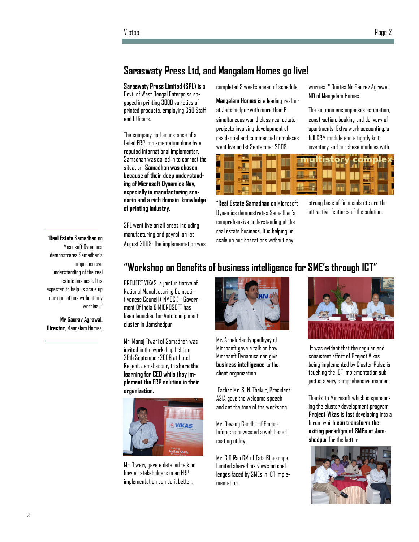### Saraswaty Press Ltd, and Mangalam Homes go live!

Saraswaty Press Limited (SPL) is a Govt. of West Bengal Enterprise engaged in printing 3000 varieties of printed products, employing 350 Staff and Officers.

The company had an instance of a failed ERP implementation done by a reputed international implementer. Samadhan was called in to correct the situation. Samadhan was chosen because of their deep understanding of Microsoft Dynamics Nav, especially in manufacturing scenario and a rich domain knowledge of printing industry.

SPL went live on all areas including manufacturing and payroll on 1st August 2008, The implementation was completed 3 weeks ahead of schedule.

Mangalam Homes is a leading realtor at Jamshedpur with more than 6 simultaneous world class real estate projects involving development of residential and commercial complexes went live on 1st September 2008.

worries. " Quotes Mr Saurav Agrawal, MD of Mangalam Homes.

The solution encompasses estimation, construction, booking and delivery of apartments. Extra work accounting, a full CRM module and a tightly knit inventory and purchase modules with



"Real Estate Samadhan on Microsoft Dynamics demonstrates Samadhan's comprehensive understanding of the real estate business. It is helping us scale up our operations without any

strong base of financials etc are the attractive features of the solution.

#### "Real Estate Samadhan on

Microsoft Dynamics demonstrates Samadhan's comprehensive understanding of the real estate business. It is expected to help us scale up our operations without any worries."

Mr Gaurav Agrawal, Director, Mangalam Homes.

### "Workshop on Benefits of business intelligence for SME's through ICT"

PROJECT VIKAS a joint initiative of National Manufacturing Competitiveness Council ( NMCC ) - Government Of India & MICROSOFT has been launched for Auto component cluster in Jamshedpur.

Mr. Manoj Tiwari of Samadhan was invited in the workshop held on 26th September 2008 at Hotel Regent, Jamshedpur, to share the learning for CEO while they implement the ERP solution in their organization.



Mr. Tiwari, gave a detailed talk on how all stakeholders in an ERP implementation can do it better.



Mr. Arnab Bandyopadhyay of Microsoft gave a talk on how Microsoft Dynamics can give business intelligence to the client organization.

 Earlier Mr. S. N. Thakur, President ASIA gave the welcome speech and set the tone of the workshop.

Mr. Devang Gandhi, of Empire Infotech showcased a web based costing utility.

Mr. G G Rao GM of Tata Bluescope Limited shared his views on challenges faced by SMEs in ICT implementation.



 It was evident that the regular and consistent effort of Project Vikas being implemented by Cluster Pulse is touching the ICT implementation subject is a very comprehensive manner.

Thanks to Microsoft which is sponsoring the cluster development program, Project Vikas is fast developing into a forum which can transform the exiting paradigm of SMEs at Jamshedpur for the better

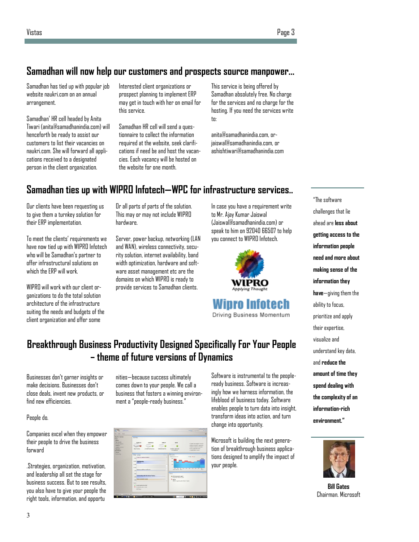### Samadhan will now help our customers and prospects source manpower...

Samadhan has tied up with popular job website naukri.com on an annual arrangement.

Samadhan' HR cell headed by Anita Tiwari (anita@samadhanindia.com) will henceforth be ready to assist our customers to list their vacancies on naukri.com. She will forward all applications received to a designated person in the client organization.

Interested client organizations or prospect planning to implement ERP may get in touch with her on email for this service.

Samadhan HR cell will send a questionnaire to collect the information required at the website, seek clarifications if need be and host the vacancies. Each vacancy will be hosted on the website for one month.

This service is being offered by Samadhan absolutely free. No charge for the services and no charge for the hosting. If you need the services write to:

anita@samadhanindia.com, orjaiswal@samadhanindia.com, or ashishtiwari@samadhanindia.com

## Samadhan ties up with WIPRO Infotech—WPC for infrastructure services..

Our clients have been requesting us to give them a turnkey solution for their ERP implementation.

To meet the clients' requirements we have now tied up with WIPRO Infotech who will be Samadhan's partner to offer infrastructural solutions on which the FRP will work.

WIPRO will work with our client organizations to do the total solution architecture of the infrastructure suiting the needs and budgets of the client organization and offer some

Or all parts of parts of the solution. This may or may not include WIPRO hardware.

Server, power backup, networking (LAN and WAN), wireless connectivity, security solution, internet availability, band width optimization, hardware and software asset management etc are the domains on which WIPRO is ready to provide services to Samadhan clients.

In case you have a requirement write to Mr. Ajay Kumar Jaiswal (Jaiswal@samadhanindia.com) or speak to him on 92040 66507 to help you connect to WIPRO Infotech.



ro Infotech Driving Business Momentum ahead are less about getting access to the information people need and more about making sense of the information they have—giving them the ability to focus, prioritize and apply their expertise, visualize and understand key data, and reduce the amount of time they spend dealing with the complexity of an information-rich environment."

"The software challenges that lie



Bill Gates Chairman. Microsoft

### Breakthrough Business Productivity Designed Specifically For Your People – theme of future versions of Dynamics

Businesses don't garner insights or make decisions. Businesses don't close deals, invent new products, or find new efficiencies.

#### People do.

Companies excel when they empower their people to drive the business forward

.Strategies, organization, motivation, and leadership all set the stage for business success. But to see results, you also have to give your people the right tools, information, and opportu

nities—because success ultimately comes down to your people. We call a business that fosters a winning environment a "people-ready business."



Software is instrumental to the peopleready business. Software is increasingly how we harness information, the lifeblood of business today. Software enables people to turn data into insight, transform ideas into action, and turn change into opportunity.

Microsoft is building the next generation of breakthrough business applications designed to amplify the impact of your people.